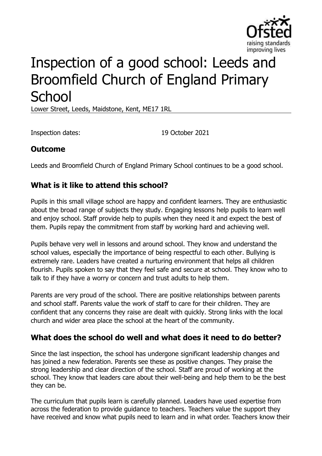

# Inspection of a good school: Leeds and Broomfield Church of England Primary **School**

Lower Street, Leeds, Maidstone, Kent, ME17 1RL

Inspection dates: 19 October 2021

## **Outcome**

Leeds and Broomfield Church of England Primary School continues to be a good school.

## **What is it like to attend this school?**

Pupils in this small village school are happy and confident learners. They are enthusiastic about the broad range of subjects they study. Engaging lessons help pupils to learn well and enjoy school. Staff provide help to pupils when they need it and expect the best of them. Pupils repay the commitment from staff by working hard and achieving well.

Pupils behave very well in lessons and around school. They know and understand the school values, especially the importance of being respectful to each other. Bullying is extremely rare. Leaders have created a nurturing environment that helps all children flourish. Pupils spoken to say that they feel safe and secure at school. They know who to talk to if they have a worry or concern and trust adults to help them.

Parents are very proud of the school. There are positive relationships between parents and school staff. Parents value the work of staff to care for their children. They are confident that any concerns they raise are dealt with quickly. Strong links with the local church and wider area place the school at the heart of the community.

### **What does the school do well and what does it need to do better?**

Since the last inspection, the school has undergone significant leadership changes and has joined a new federation. Parents see these as positive changes. They praise the strong leadership and clear direction of the school. Staff are proud of working at the school. They know that leaders care about their well-being and help them to be the best they can be.

The curriculum that pupils learn is carefully planned. Leaders have used expertise from across the federation to provide guidance to teachers. Teachers value the support they have received and know what pupils need to learn and in what order. Teachers know their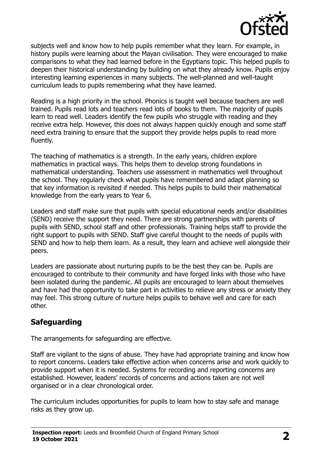

subjects well and know how to help pupils remember what they learn. For example, in history pupils were learning about the Mayan civilisation. They were encouraged to make comparisons to what they had learned before in the Egyptians topic. This helped pupils to deepen their historical understanding by building on what they already know. Pupils enjoy interesting learning experiences in many subjects. The well-planned and well-taught curriculum leads to pupils remembering what they have learned.

Reading is a high priority in the school. Phonics is taught well because teachers are well trained. Pupils read lots and teachers read lots of books to them. The majority of pupils learn to read well. Leaders identify the few pupils who struggle with reading and they receive extra help. However, this does not always happen quickly enough and some staff need extra training to ensure that the support they provide helps pupils to read more fluently.

The teaching of mathematics is a strength. In the early years, children explore mathematics in practical ways. This helps them to develop strong foundations in mathematical understanding. Teachers use assessment in mathematics well throughout the school. They regularly check what pupils have remembered and adapt planning so that key information is revisited if needed. This helps pupils to build their mathematical knowledge from the early years to Year 6.

Leaders and staff make sure that pupils with special educational needs and/or disabilities (SEND) receive the support they need. There are strong partnerships with parents of pupils with SEND, school staff and other professionals. Training helps staff to provide the right support to pupils with SEND. Staff give careful thought to the needs of pupils with SEND and how to help them learn. As a result, they learn and achieve well alongside their peers.

Leaders are passionate about nurturing pupils to be the best they can be. Pupils are encouraged to contribute to their community and have forged links with those who have been isolated during the pandemic. All pupils are encouraged to learn about themselves and have had the opportunity to take part in activities to relieve any stress or anxiety they may feel. This strong culture of nurture helps pupils to behave well and care for each other.

## **Safeguarding**

The arrangements for safeguarding are effective.

Staff are vigilant to the signs of abuse. They have had appropriate training and know how to report concerns. Leaders take effective action when concerns arise and work quickly to provide support when it is needed. Systems for recording and reporting concerns are established. However, leaders' records of concerns and actions taken are not well organised or in a clear chronological order.

The curriculum includes opportunities for pupils to learn how to stay safe and manage risks as they grow up.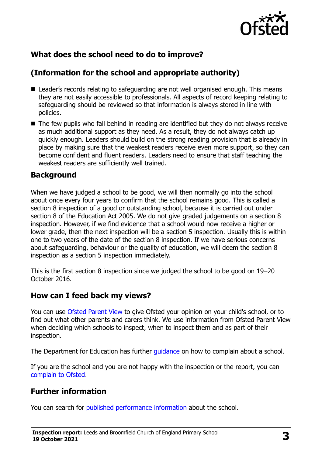

## **What does the school need to do to improve?**

## **(Information for the school and appropriate authority)**

- Leader's records relating to safeguarding are not well organised enough. This means they are not easily accessible to professionals. All aspects of record keeping relating to safeguarding should be reviewed so that information is always stored in line with policies.
- The few pupils who fall behind in reading are identified but they do not always receive as much additional support as they need. As a result, they do not always catch up quickly enough. Leaders should build on the strong reading provision that is already in place by making sure that the weakest readers receive even more support, so they can become confident and fluent readers. Leaders need to ensure that staff teaching the weakest readers are sufficiently well trained.

#### **Background**

When we have judged a school to be good, we will then normally go into the school about once every four years to confirm that the school remains good. This is called a section 8 inspection of a good or outstanding school, because it is carried out under section 8 of the Education Act 2005. We do not give graded judgements on a section 8 inspection. However, if we find evidence that a school would now receive a higher or lower grade, then the next inspection will be a section 5 inspection. Usually this is within one to two years of the date of the section 8 inspection. If we have serious concerns about safeguarding, behaviour or the quality of education, we will deem the section 8 inspection as a section 5 inspection immediately.

This is the first section 8 inspection since we judged the school to be good on 19–20 October 2016.

### **How can I feed back my views?**

You can use [Ofsted Parent View](https://parentview.ofsted.gov.uk/) to give Ofsted your opinion on your child's school, or to find out what other parents and carers think. We use information from Ofsted Parent View when deciding which schools to inspect, when to inspect them and as part of their inspection.

The Department for Education has further *guidance* on how to complain about a school.

If you are the school and you are not happy with the inspection or the report, you can [complain to Ofsted.](https://www.gov.uk/complain-ofsted-report)

## **Further information**

You can search for [published performance information](http://www.compare-school-performance.service.gov.uk/) about the school.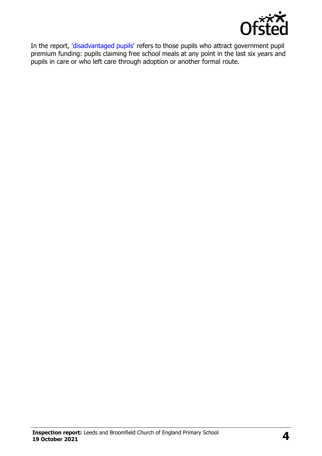

In the report, ['disadvantaged pupils'](http://www.gov.uk/guidance/pupil-premium-information-for-schools-and-alternative-provision-settings) refers to those pupils who attract government pupil premium funding: pupils claiming free school meals at any point in the last six years and pupils in care or who left care through adoption or another formal route.

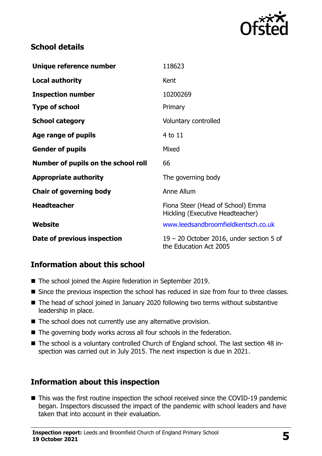

## **School details**

| Unique reference number             | 118623                                                                |
|-------------------------------------|-----------------------------------------------------------------------|
| <b>Local authority</b>              | Kent                                                                  |
| <b>Inspection number</b>            | 10200269                                                              |
| <b>Type of school</b>               | Primary                                                               |
| <b>School category</b>              | Voluntary controlled                                                  |
| Age range of pupils                 | 4 to 11                                                               |
| <b>Gender of pupils</b>             | Mixed                                                                 |
| Number of pupils on the school roll | 66                                                                    |
| <b>Appropriate authority</b>        | The governing body                                                    |
| <b>Chair of governing body</b>      | Anne Allum                                                            |
| <b>Headteacher</b>                  | Fiona Steer (Head of School) Emma<br>Hickling (Executive Headteacher) |
| Website                             | www.leedsandbroomfieldkentsch.co.uk                                   |
| Date of previous inspection         | $19 - 20$ October 2016, under section 5 of<br>the Education Act 2005  |

### **Information about this school**

- The school joined the Aspire federation in September 2019.
- Since the previous inspection the school has reduced in size from four to three classes.
- The head of school joined in January 2020 following two terms without substantive leadership in place.
- The school does not currently use any alternative provision.
- The governing body works across all four schools in the federation.
- The school is a voluntary controlled Church of England school. The last section 48 inspection was carried out in July 2015. The next inspection is due in 2021.

## **Information about this inspection**

■ This was the first routine inspection the school received since the COVID-19 pandemic began. Inspectors discussed the impact of the pandemic with school leaders and have taken that into account in their evaluation.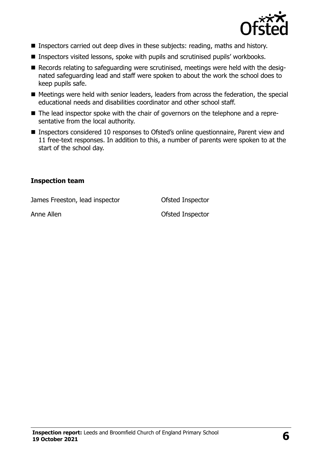

- Inspectors carried out deep dives in these subjects: reading, maths and history.
- Inspectors visited lessons, spoke with pupils and scrutinised pupils' workbooks.
- Records relating to safeguarding were scrutinised, meetings were held with the designated safeguarding lead and staff were spoken to about the work the school does to keep pupils safe.
- Meetings were held with senior leaders, leaders from across the federation, the special educational needs and disabilities coordinator and other school staff.
- The lead inspector spoke with the chair of governors on the telephone and a representative from the local authority.
- Inspectors considered 10 responses to Ofsted's online questionnaire, Parent view and 11 free-text responses. In addition to this, a number of parents were spoken to at the start of the school day.

#### **Inspection team**

James Freeston, lead inspector Ofsted Inspector

Anne Allen **Anne Allen Anne Allen Anne Allen Ofsted Inspector**